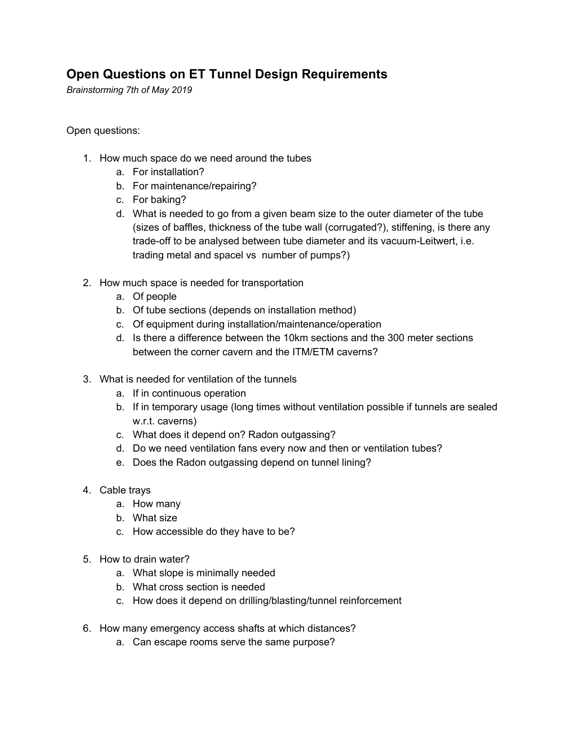## **Open Questions on ET Tunnel Design Requirements**

*Brainstorming 7th of May 2019*

Open questions:

- 1. How much space do we need around the tubes
	- a. For installation?
	- b. For maintenance/repairing?
	- c. For baking?
	- d. What is needed to go from a given beam size to the outer diameter of the tube (sizes of baffles, thickness of the tube wall (corrugated?), stiffening, is there any trade-off to be analysed between tube diameter and its vacuum-Leitwert, i.e. trading metal and spacel vs number of pumps?)
- 2. How much space is needed for transportation
	- a. Of people
	- b. Of tube sections (depends on installation method)
	- c. Of equipment during installation/maintenance/operation
	- d. Is there a difference between the 10km sections and the 300 meter sections between the corner cavern and the ITM/ETM caverns?
- 3. What is needed for ventilation of the tunnels
	- a. If in continuous operation
	- b. If in temporary usage (long times without ventilation possible if tunnels are sealed w.r.t. caverns)
	- c. What does it depend on? Radon outgassing?
	- d. Do we need ventilation fans every now and then or ventilation tubes?
	- e. Does the Radon outgassing depend on tunnel lining?
- 4. Cable trays
	- a. How many
	- b. What size
	- c. How accessible do they have to be?
- 5. How to drain water?
	- a. What slope is minimally needed
	- b. What cross section is needed
	- c. How does it depend on drilling/blasting/tunnel reinforcement
- 6. How many emergency access shafts at which distances?
	- a. Can escape rooms serve the same purpose?